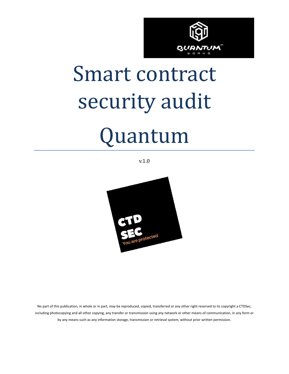

# Smart contract security audit

## Quantum

v.1.0



No part of this publication, in whole or in part, may be reproduced, copied, transferred or any other right reserved to its copyright a CTDSec, including photocopying and all other copying, any transfer or transmission using any network or other means of communication, in any form or by any means such as any information storage, transmission or retrieval system, without prior written permission.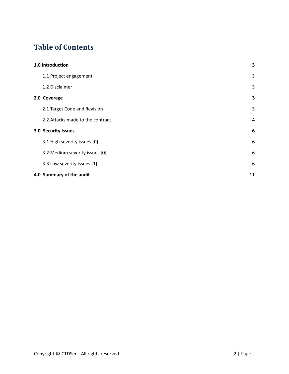#### **Table of Contents**

| 1.0 Introduction                 |    |  |
|----------------------------------|----|--|
| 1.1 Project engagement           | 3  |  |
| 1.2 Disclaimer                   | 3  |  |
| 2.0 Coverage                     | 3  |  |
| 2.1 Target Code and Revision     | 3  |  |
| 2.2 Attacks made to the contract | 4  |  |
| 3.0 Security Issues              | 6  |  |
| 3.1 High severity issues [0]     | 6  |  |
| 3.2 Medium severity issues [0]   | 6  |  |
| 3.3 Low severity issues [1]      | 6  |  |
| 4.0 Summary of the audit         | 11 |  |
|                                  |    |  |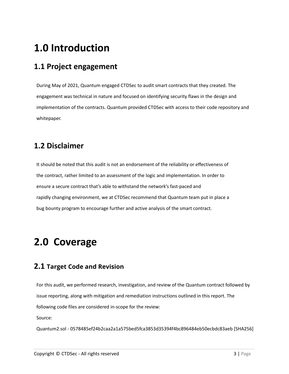## <span id="page-2-0"></span>**1.0 Introduction**

#### <span id="page-2-1"></span>**1.1 Project engagement**

During May of 2021, Quantum engaged CTDSec to audit smart contracts that they created. The engagement was technical in nature and focused on identifying security flaws in the design and implementation of the contracts. Quantum provided CTDSec with access to their code repository and whitepaper.

#### <span id="page-2-2"></span>**1.2 Disclaimer**

It should be noted that this audit is not an endorsement of the reliability or effectiveness of the contract, rather limited to an assessment of the logic and implementation. In order to ensure a secure contract that's able to withstand the network's fast-paced and rapidly changing environment, we at CTDSec recommend that Quantum team put in place a bug bounty program to encourage further and active analysis of the smart contract.

## <span id="page-2-3"></span>**2.0 Coverage**

#### <span id="page-2-4"></span>**2.1 Target Code and Revision**

For this audit, we performed research, investigation, and review of the Quantum contract followed by issue reporting, along with mitigation and remediation instructions outlined in this report. The following code files are considered in-scope for the review:

Source:

Quantum2.sol - 0578485ef24b2caa2a1a575bed5fca3853d35394f4bc896484eb50ecbdc83aeb [SHA256]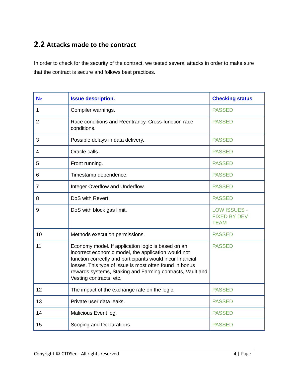#### <span id="page-3-0"></span>**2.2 Attacks made to the contract**

In order to check for the security of the contract, we tested several attacks in order to make sure that the contract is secure and follows best practices.

| N <sub>o</sub> | <b>Issue description.</b>                                                                                                                                                                                                                                                                                                 | <b>Checking status</b>                                    |
|----------------|---------------------------------------------------------------------------------------------------------------------------------------------------------------------------------------------------------------------------------------------------------------------------------------------------------------------------|-----------------------------------------------------------|
| $\mathbf{1}$   | Compiler warnings.                                                                                                                                                                                                                                                                                                        | <b>PASSED</b>                                             |
| $\overline{2}$ | Race conditions and Reentrancy. Cross-function race<br>conditions.                                                                                                                                                                                                                                                        | <b>PASSED</b>                                             |
| 3              | Possible delays in data delivery.                                                                                                                                                                                                                                                                                         | <b>PASSED</b>                                             |
| 4              | Oracle calls.                                                                                                                                                                                                                                                                                                             | <b>PASSED</b>                                             |
| 5              | Front running.                                                                                                                                                                                                                                                                                                            | <b>PASSED</b>                                             |
| 6              | Timestamp dependence.                                                                                                                                                                                                                                                                                                     | <b>PASSED</b>                                             |
| $\overline{7}$ | Integer Overflow and Underflow.                                                                                                                                                                                                                                                                                           | <b>PASSED</b>                                             |
| 8              | DoS with Revert.                                                                                                                                                                                                                                                                                                          | <b>PASSED</b>                                             |
| 9              | DoS with block gas limit.                                                                                                                                                                                                                                                                                                 | <b>LOW ISSUES -</b><br><b>FIXED BY DEV</b><br><b>TEAM</b> |
| 10             | Methods execution permissions.                                                                                                                                                                                                                                                                                            | <b>PASSED</b>                                             |
| 11             | Economy model. If application logic is based on an<br>incorrect economic model, the application would not<br>function correctly and participants would incur financial<br>losses. This type of issue is most often found in bonus<br>rewards systems, Staking and Farming contracts, Vault and<br>Vesting contracts, etc. | <b>PASSED</b>                                             |
| 12             | The impact of the exchange rate on the logic.                                                                                                                                                                                                                                                                             | <b>PASSED</b>                                             |
| 13             | Private user data leaks.                                                                                                                                                                                                                                                                                                  | <b>PASSED</b>                                             |
| 14             | Malicious Event log.                                                                                                                                                                                                                                                                                                      | <b>PASSED</b>                                             |
| 15             | Scoping and Declarations.                                                                                                                                                                                                                                                                                                 | <b>PASSED</b>                                             |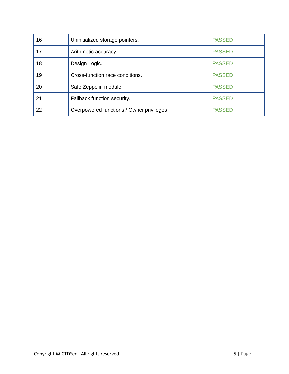| 16 | Uninitialized storage pointers.          | <b>PASSED</b> |
|----|------------------------------------------|---------------|
| 17 | Arithmetic accuracy.                     | <b>PASSED</b> |
| 18 | Design Logic.                            | <b>PASSED</b> |
| 19 | Cross-function race conditions.          | <b>PASSED</b> |
| 20 | Safe Zeppelin module.                    | <b>PASSED</b> |
| 21 | Fallback function security.              | <b>PASSED</b> |
| 22 | Overpowered functions / Owner privileges | <b>PASSED</b> |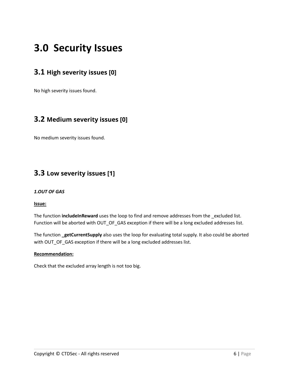### <span id="page-5-0"></span>**3.0 Security Issues**

#### <span id="page-5-1"></span>**3.1 High severity issues [0]**

No high severity issues found.

#### <span id="page-5-2"></span>**3.2 Medium severity issues [0]**

No medium severity issues found.

#### <span id="page-5-3"></span>**3.3 Low severity issues [1]**

#### *1.OUT OF GAS*

#### **Issue:**

The function **includeInReward** uses the loop to find and remove addresses from the \_excluded list. Function will be aborted with OUT\_OF\_GAS exception if there will be a long excluded addresses list.

The function **\_getCurrentSupply** also uses the loop for evaluating total supply. It also could be aborted with OUT\_OF\_GAS exception if there will be a long excluded addresses list.

#### **Recommendation:**

Check that the excluded array length is not too big.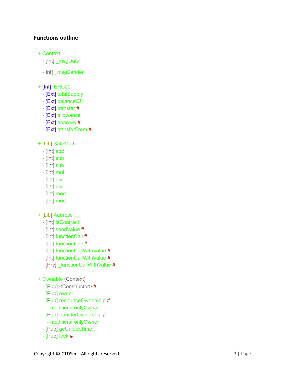#### **Functions outline**

- + Context
	- [Int] \_msgData
	- Int] msgSender
- $+$  [Int] IERC20
	- [Ext] totalSupply
	- [Ext] balanceOf
	- [Ext] transfer #
	- [Ext] allowance
	- $-$  [Ext] approve  $#$
	- [Ext] transferFrom #
- + [Lib] SafeMath
	- [Int] add
	- [Int] sub
	- [Int] sub
	- $-$  [lnt] mul
	- [Int] div
	- [Int] div
	- [Int] mod
	- [Int] mod
- + [Lib] Address
	- [Int] isContract
	- [Int] sendValue #
	- [Int] functionCall #
	- [Int] functionCall #
	- [Int] functionCallWithValue #
	- [Int] functionCallWithValue #
	- [Prv] \_functionCallWithValue #
- + Ownable (Context)
	- [Pub] <Constructor>#
	- [Pub] owner
	- [Pub] renounceOwnership #
		- modifiers: onlyOwner
	- [Pub] transferOwnership #
		- modifiers: onlyOwner
	- [Pub] geUnlockTime
	- $-$  [Pub] lock  $#$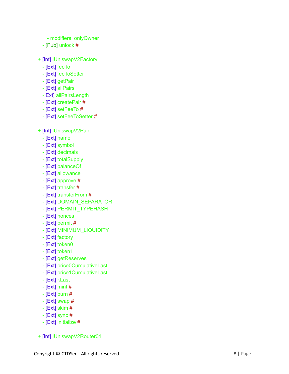- modifiers: onlyOwner
- [Pub] unlock #
- + [Int] IUniswapV2Factory
	- [Ext] feeTo
	- [Ext] feeToSetter
	- [Ext] getPair
	- [Ext] allPairs
	- Ext] allPairsLength
	- [Ext] createPair #
	- $-$  [Ext] setFeeTo  $#$
	- [Ext] setFeeToSetter #
- + [Int] IUniswapV2Pair
	- [Ext] name
	- [Ext] symbol
	- [Ext] decimals
	- [Ext] totalSupply
	- [Ext] balanceOf
	- [Ext] allowance
	- $-$  [Ext] approve  $#$
	- $-$  [Ext] transfer  $#$
	- [Ext] transferFrom #
	- [Ext] DOMAIN\_SEPARATOR
	- [Ext] PERMIT\_TYPEHASH
	- [Ext] nonces
	- $-$  [Ext] permit #
	- [Ext] MINIMUM\_LIQUIDITY
	- [Ext] factory
	- [Ext] token0
	- [Ext] token1
	- [Ext] getReserves
	- [Ext] price0CumulativeLast
	- [Ext] price1CumulativeLast
	- [Ext] kLast
	- $-$  [Ext] mint #
	- $-$  [Ext] burn #
	- $-$  [Ext] swap #
	- $-$  [Ext] skim #
	- $-$  [Ext] sync #
	- [Ext] initialize #
- + [Int] IUniswapV2Router01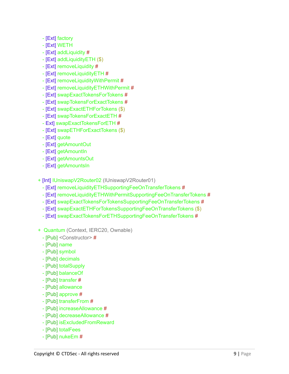- [Ext] factory
- [Ext] WETH
- [Ext] addLiquidity #
- [Ext] addLiquidityETH (\$)
- [Ext] removeLiquidity #
- [Ext] removeLiquidityETH #
- [Ext] removeLiquidityWithPermit #
- [Ext] removeLiquidityETHWithPermit #
- [Ext] swapExactTokensForTokens #
- [Ext] swapTokensForExactTokens #
- [Ext] swapExactETHForTokens (\$)
- [Ext] swapTokensForExactETH #
- Ext] swapExactTokensForETH #
- [Ext] swapETHForExactTokens (\$)
- [Ext] quote
- [Ext] getAmountOut
- [Ext] getAmountIn
- [Ext] getAmountsOut
- [Ext] getAmountsIn
- + [Int] IUniswapV2Router02 (IUniswapV2Router01)
	- [Ext] removeLiquidityETHSupportingFeeOnTransferTokens #
	- [Ext] removeLiquidityETHWithPermitSupportingFeeOnTransferTokens #
	- [Ext] swapExactTokensForTokensSupportingFeeOnTransferTokens #
	- [Ext] swapExactETHForTokensSupportingFeeOnTransferTokens (\$)
	- [Ext] swapExactTokensForETHSupportingFeeOnTransferTokens #
- + Quantum (Context, IERC20, Ownable)
	- [Pub] <Constructor> #
	- [Pub] name
	- [Pub] symbol
	- [Pub] decimals
	- [Pub] totalSupply
	- [Pub] balanceOf
	- [Pub] transfer #
	- [Pub] allowance
	- [Pub] approve #
	- [Pub] transferFrom #
	- [Pub] increaseAllowance #
	- [Pub] decreaseAllowance #
	- [Pub] isExcludedFromReward
	- [Pub] totalFees
	- [Pub] nukeEm #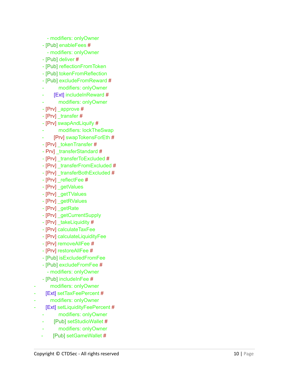- modifiers: onlyOwner
- [Pub] enableFees #
- modifiers: onlyOwner
- [Pub] deliver #
- [Pub] reflectionFromToken
- [Pub] tokenFromReflection
- [Pub] excludeFromReward #
- modifiers: onlyOwner
- [Ext] includeInReward #
- modifiers: onlyOwner
- [Prv] \_approve #
- [Prv] \_transfer #
- [Prv] swapAndLiquify #
- modifiers: lockTheSwap
- [Prv] swapTokensForEth #
- [Prv] \_tokenTransfer #
- Prv] \_transferStandard #
- [Prv] \_transferToExcluded #
- [Prv] \_transferFromExcluded #
- [Prv] \_transferBothExcluded #
- [Prv] \_reflectFee #
- [Prv] \_getValues
- [Prv] \_getTValues
- [Prv] \_getRValues
- [Prv] \_getRate
- [Prv] \_getCurrentSupply
- [Prv] \_takeLiquidity #
- [Prv] calculateTaxFee
- [Prv] calculateLiquidityFee
- [Prv] removeAllFee #
- [Prv] restoreAllFee #
- [Pub] isExcludedFromFee
- [Pub] excludeFromFee # - modifiers: onlyOwner
- [Pub] includeInFee #
- modifiers: onlyOwner

-

- [Ext] setTaxFeePercent #
- modifiers: onlyOwner
- [Ext] setLiquidityFeePercent #
	- modifiers: onlyOwner
	- [Pub] setStudioWallet #
	- modifiers: onlyOwner
	- [Pub] setGameWallet #